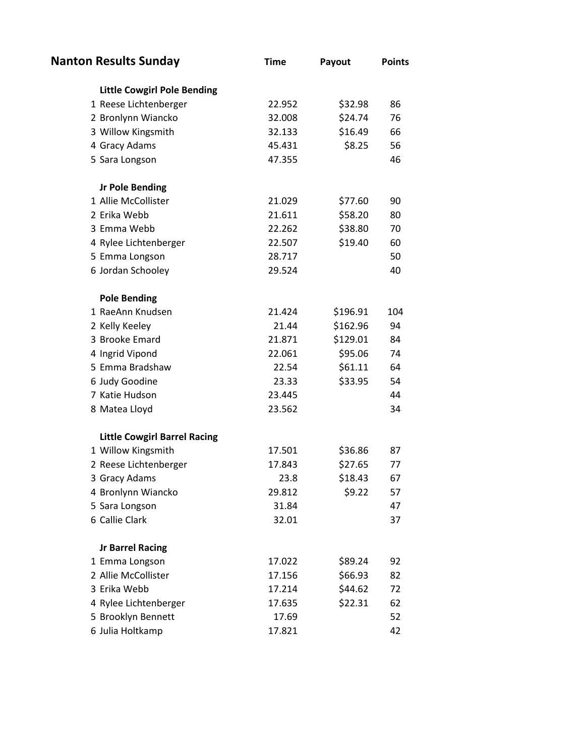| <b>Nanton Results Sunday</b>        | <b>Time</b> | Payout   | <b>Points</b> |
|-------------------------------------|-------------|----------|---------------|
| <b>Little Cowgirl Pole Bending</b>  |             |          |               |
| 1 Reese Lichtenberger               | 22.952      | \$32.98  | 86            |
| 2 Bronlynn Wiancko                  | 32.008      | \$24.74  | 76            |
| 3 Willow Kingsmith                  | 32.133      | \$16.49  | 66            |
| 4 Gracy Adams                       | 45.431      | \$8.25   | 56            |
| 5 Sara Longson                      | 47.355      |          | 46            |
| <b>Jr Pole Bending</b>              |             |          |               |
| 1 Allie McCollister                 | 21.029      | \$77.60  | 90            |
| 2 Erika Webb                        | 21.611      | \$58.20  | 80            |
| 3 Emma Webb                         | 22.262      | \$38.80  | 70            |
| 4 Rylee Lichtenberger               | 22.507      | \$19.40  | 60            |
| 5 Emma Longson                      | 28.717      |          | 50            |
| 6 Jordan Schooley                   | 29.524      |          | 40            |
| <b>Pole Bending</b>                 |             |          |               |
| 1 RaeAnn Knudsen                    | 21.424      | \$196.91 | 104           |
| 2 Kelly Keeley                      | 21.44       | \$162.96 | 94            |
| 3 Brooke Emard                      | 21.871      | \$129.01 | 84            |
| 4 Ingrid Vipond                     | 22.061      | \$95.06  | 74            |
| 5 Emma Bradshaw                     | 22.54       | \$61.11  | 64            |
| 6 Judy Goodine                      | 23.33       | \$33.95  | 54            |
| 7 Katie Hudson                      | 23.445      |          | 44            |
| 8 Matea Lloyd                       | 23.562      |          | 34            |
| <b>Little Cowgirl Barrel Racing</b> |             |          |               |
| 1 Willow Kingsmith                  | 17.501      | \$36.86  | 87            |
| 2 Reese Lichtenberger               | 17.843      | \$27.65  | 77            |
| 3 Gracy Adams                       | 23.8        | \$18.43  | 67            |
| 4 Bronlynn Wiancko                  | 29.812      | \$9.22   | 57            |
| 5 Sara Longson                      | 31.84       |          | 47            |
| 6 Callie Clark                      | 32.01       |          | 37            |
| <b>Jr Barrel Racing</b>             |             |          |               |
| 1 Emma Longson                      | 17.022      | \$89.24  | 92            |
| 2 Allie McCollister                 | 17.156      | \$66.93  | 82            |
| 3 Erika Webb                        | 17.214      | \$44.62  | 72            |
| 4 Rylee Lichtenberger               | 17.635      | \$22.31  | 62            |
| 5 Brooklyn Bennett                  | 17.69       |          | 52            |
| 6 Julia Holtkamp                    | 17.821      |          | 42            |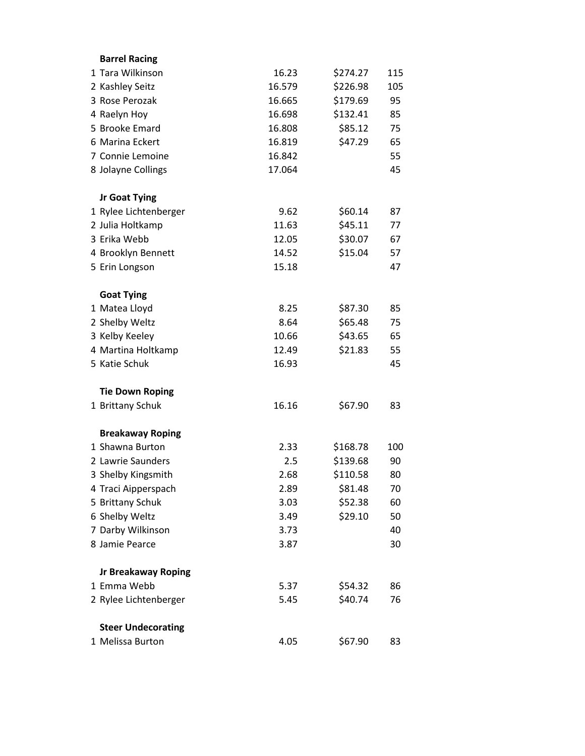| <b>Barrel Racing</b>       |        |          |     |
|----------------------------|--------|----------|-----|
| 1 Tara Wilkinson           | 16.23  | \$274.27 | 115 |
| 2 Kashley Seitz            | 16.579 | \$226.98 | 105 |
| 3 Rose Perozak             | 16.665 | \$179.69 | 95  |
| 4 Raelyn Hoy               | 16.698 | \$132.41 | 85  |
| 5 Brooke Emard             | 16.808 | \$85.12  | 75  |
| 6 Marina Eckert            | 16.819 | \$47.29  | 65  |
| 7 Connie Lemoine           | 16.842 |          | 55  |
| 8 Jolayne Collings         | 17.064 |          | 45  |
| <b>Jr Goat Tying</b>       |        |          |     |
| 1 Rylee Lichtenberger      | 9.62   | \$60.14  | 87  |
| 2 Julia Holtkamp           | 11.63  | \$45.11  | 77  |
| 3 Erika Webb               | 12.05  | \$30.07  | 67  |
| 4 Brooklyn Bennett         | 14.52  | \$15.04  | 57  |
| 5 Erin Longson             | 15.18  |          | 47  |
| <b>Goat Tying</b>          |        |          |     |
| 1 Matea Lloyd              | 8.25   | \$87.30  | 85  |
| 2 Shelby Weltz             | 8.64   | \$65.48  | 75  |
| 3 Kelby Keeley             | 10.66  | \$43.65  | 65  |
| 4 Martina Holtkamp         | 12.49  | \$21.83  | 55  |
| 5 Katie Schuk              | 16.93  |          | 45  |
| <b>Tie Down Roping</b>     |        |          |     |
| 1 Brittany Schuk           | 16.16  | \$67.90  | 83  |
| <b>Breakaway Roping</b>    |        |          |     |
| 1 Shawna Burton            | 2.33   | \$168.78 | 100 |
| 2 Lawrie Saunders          | 2.5    | \$139.68 | 90  |
| 3 Shelby Kingsmith         | 2.68   | \$110.58 | 80  |
| 4 Traci Aipperspach        | 2.89   | \$81.48  | 70  |
| 5 Brittany Schuk           | 3.03   | \$52.38  | 60  |
| 6 Shelby Weltz             | 3.49   | \$29.10  | 50  |
| 7 Darby Wilkinson          | 3.73   |          | 40  |
| 8 Jamie Pearce             | 3.87   |          | 30  |
| <b>Jr Breakaway Roping</b> |        |          |     |
| 1 Emma Webb                | 5.37   | \$54.32  | 86  |
| 2 Rylee Lichtenberger      | 5.45   | \$40.74  | 76  |
| <b>Steer Undecorating</b>  |        |          |     |
| 1 Melissa Burton           | 4.05   | \$67.90  | 83  |